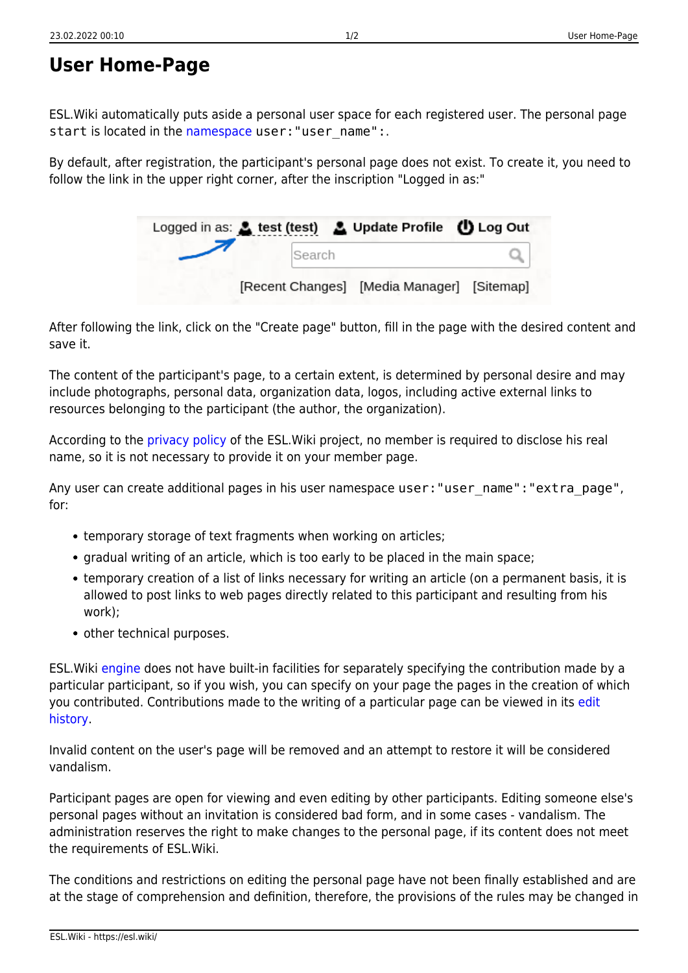## **User Home-Page**

ESL.Wiki automatically puts aside a personal user space for each registered user. The personal page start is located in the [namespace](https://esl.wiki/en/wiki/pagename_and_namespaces) user: "user\_name":.

By default, after registration, the participant's personal page does not exist. To create it, you need to follow the link in the upper right corner, after the inscription "Logged in as:"

| Logged in as: A test (test) A Update Profile ( Log Out |                                            |  |
|--------------------------------------------------------|--------------------------------------------|--|
| Search                                                 |                                            |  |
|                                                        | [Recent Changes] [Media Manager] [Sitemap] |  |

After following the link, click on the "Create page" button, fill in the page with the desired content and save it.

The content of the participant's page, to a certain extent, is determined by personal desire and may include photographs, personal data, organization data, logos, including active external links to resources belonging to the participant (the author, the organization).

According to the [privacy policy](https://esl.wiki/en/wiki/privacy_policy) of the ESL.Wiki project, no member is required to disclose his real name, so it is not necessary to provide it on your member page.

Any user can create additional pages in his user namespace user: "user name": "extra page", for:

- temporary storage of text fragments when working on articles;
- gradual writing of an article, which is too early to be placed in the main space;
- temporary creation of a list of links necessary for writing an article (on a permanent basis, it is allowed to post links to web pages directly related to this participant and resulting from his work);
- other technical purposes.

ESL.Wiki [engine](https://esl.wiki/en/wiki/dokuwiki) does not have built-in facilities for separately specifying the contribution made by a particular participant, so if you wish, you can specify on your page the pages in the creation of which you contributed. Contributions made to the writing of a particular page can be viewed in its [edit](https://esl.wiki/en/wiki/attic) [history.](https://esl.wiki/en/wiki/attic)

Invalid content on the user's page will be removed and an attempt to restore it will be considered vandalism.

Participant pages are open for viewing and even editing by other participants. Editing someone else's personal pages without an invitation is considered bad form, and in some cases - vandalism. The administration reserves the right to make changes to the personal page, if its content does not meet the requirements of ESL.Wiki.

The conditions and restrictions on editing the personal page have not been finally established and are at the stage of comprehension and definition, therefore, the provisions of the rules may be changed in